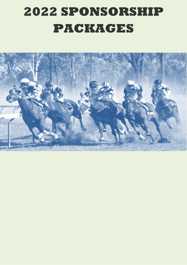# **2022 SPONSORSHIP PACKAGES**

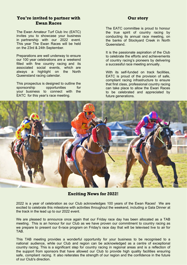#### **You're invited to partner with Ewan Races**

The Ewan Amateur Turf Club Inc (EATC) invites you to showcase your business in partnership with our 2022 event. This year The Ewan Races will be held on the 23rd & 24th September.

Preparations are well underway to ensure our 100 year celebrations are a weekend filled with fine country racing and its associated social events, which are always a highlight on the North Queensland racing calendar.

This prospectus is designed to outline the sponsorship opportunities for your business to connect with the EATC for this year's race meeting.

#### **Our story**

The EATC committee is proud to honour the true spirit of country racing by conducting its annual race meeting, on the banks of Stockyard Creek in North **Queensland** 

It is the passionate aspiration of the Club to celebrate the efforts and achievements of country racing's pioneers by delivering a successful race meeting annually.

With its self-funded on track facilities, EATC is proud of the provision of safe, compliant racing infrastructure to ensure that first class, professional country racing can take place to allow the Ewan Races to be celebrated and appreciated by future generations.



#### **Exciting News for 2022!**

2022 is a year of celebration as our Club acknowledges 100 years of the Ewan Races! We are excited to celebrate this milestone with activities throughout the weekend, including a Gala Dinner at the track in the lead up to our 2022 event.

We are pleased to announce once again that our Friday race day has been allocated as a TAB meeting. This is an honour for our Club as we have proven our commitment to country racing as we prepare to present our 6-race program on Friday's race day that will be televised live to air for TAB.

This TAB meeting provides a wonderful opportunity for your business to be recognised to a national audience, while our Club and region can be acknowledged as a centre of exceptional country racing. This is a significant step for country racing in regional areas and is a reflection of the support from sponsors that have allowed our Club to provide high quality facilities ensuring safe, compliant racing. It also reiterates the strength of our region and the confidence in the future of our Club's direction.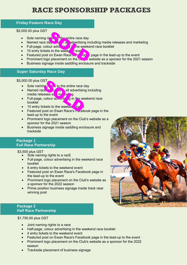### **RACE SPONSORSHIP PACKAGES**

#### **Friday Feature Race Day**

#### \$5,000.00 plus GST

- Sole naming rights to the entire race day
- Named race day see in a ladvertising including media releases and marketing
- Full-page, colour advertising in the weekend race booklet The the entire race day<br>day and advertising incour advertising incour advertising income<br>ts to the week of every develop to the week of the state of the state of the state of the state of the state of the state of the stat
- $\bullet$  10 entry tickets to the week  $\overline{d}$  even
- Featured post on Ewan Races Facebook page in the lead-up to the event
- **Prominent logo placement on the Club's website as a sponsor for the 2021 season**
- Business signage inside saddling enclosure and trackside

#### **Super Saturday Race Day**

#### \$5,000.00 plus GST

- Sole naming **the the entire race day**
- Named race day used in advertising including media releases and marketing ST<br>
The sto the entire race d<br>
cases all my recognal advertising<br>
colour advertise of the we<br>
ckets to the weeker every the stock of the weeker every the<br>
constraints on Ewan Race's Facebook
- Full-page, colour  $a_0 \sqrt{a}$  in the weekend race booklet
- $\bullet$  10 entry tickets to the weekend ev
- Featured post on Ewan Race's Facebook page in the lead-up to the event
- Prominent logo placement on the Club's website as a sponsor for the 2021 season
- Business signage inside saddling enclosure and trackside

#### **Package 1 Full Race Partnership**

#### \$3,500 plus GST

- Sole naming rights to a racE
- Full-page, colour advertising in the weekend race booklet
- 6 entry tickets to the weekend event
- Featured post on Ewan Race's Facebook page in the lead-up to the event
- Prominent logo placement on the Club's website as a sponsor for the 2022 season
- Prime position business signage inside track near winning post

#### **Package 2 Half Race Partnership**

\$1,750.00 plus GST

- Joint naming rights to a race
- Half-page, colour advertising in the weekend race booklet
- 4 entry tickets to the weekend event
- Featured post on Ewan Race's Facebook page in the lead-up to the event
- Prominent logo placement on the Club's website as a sponsor for the 2022 season
- Trackside placement of business signage

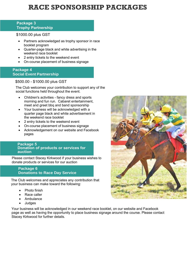### **RACE SPONSORSHIP PACKAGES**

#### **Package 3 Trophy Partnership**

\$1000.00 plus GST

- Partners acknowledged as trophy sponsor in race booklet program
- Quarter-page black and white advertising in the weekend race booklet
- 2 entry tickets to the weekend event
- On-course placement of business signage

#### **Package 4 Social Event Partnership**

#### \$500.00 - \$1000.00 plus GST

The Club welcomes your contribution to support any of the social functions held throughout the event.

- Children's activities fancy dress and sports morning and fun run. Cabaret entertainment, meet and greet bbq and band sponsorship
- Your business will be acknowledged with a quarter page black and white advertisement in the weekend race booklet
- 2 entry tickets to the weekend event
- On-course placement of business signage
- Acknowledgement on our website and Facebook pages

#### **Package 5 Donation of products or services for auction**

Please contact Stacey Kirkwood if your business wishes to donate products or services for our auction

#### **Package 6 Donations to Race Day Service**

The Club welcomes and appreciates any contribution that your business can make toward the following:

- Photo finish
- Race caller
- **Ambulance**
- Judges

Your business will be acknowledged in our weekend race booklet, on our website and Facebook page as well as having the opportunity to place business signage around the course. Please contact Stacey Kirkwood for further details.

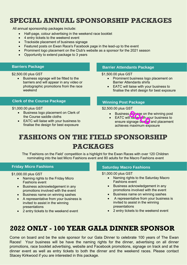### **SPECIAL ANNUAL SPONSORSHIP PACKAGES**

All annual sponsorship packages include:

- Half-page, colour advertising in the weekend race booklet
- 4 entry tickets to the weekend event
- Trackside placement of business signage
- Featured posts on Ewan Race's Facebook page in the lead-up to the event
- Prominent logo placement on the Club's website as a sponsor for the 2021 season
- Opportunity to extend package to 3 years

#### **Barriers Package**

\$2,500.00 plus GST

• Business signage will be fitted to the barriers and will appear in any video or photographic promotions from the race weekend

#### **Clerk of the Course Package**

#### \$1,000.00 plus GST

- Business logo placement on Clerk of the Course saddle cloths
- EATC will liaise with your business to finalise the design for best exposure

#### **Barrier Attendants Package**

\$1,500.00 plus GST

- Prominent business logo placement on Barrier Attendants shirts
- EATC will liaise with your business to finalise the shirt design for best exposure

#### **Winning Post Package**

\$2,500.00 plus GST

- Business signage on the winning post
- EATC will liaise with your business to ensure signage des gr and placement achieves maximum exposure **Soldard Strate on the**<br>Il maise with you<br>ignage des gr

## **FASHIONS ON THE FIELD SPONSORSHIP PACKAGES**

The 'Fashions on the Field' competition is a highlight for the Ewan Races with over 120 Children nominating into the last Micro Fashions event and 80 adults for the Macro Fashions event

#### **Friday Micro Fashions Saturday Macro Fashions Saturday Macro Fashions**

\$1,000.00 plus GST

- Naming rights to the Friday Micro Fashions event
- Business acknowledgement in any promotions involved with the event
- Business name on winning sashes
- A representative from your business is invited to assist in the winning presentations
- 2 entry tickets to the weekend event

\$1,000.00 plus GST

- Naming rights to the Saturday Macro Fashions event
- Business acknowledgement in any promotions involved with the event
- Business name on winning sashes
- A representative from your business is invited to assist in the winning presentations
- 2 entry tickets to the weekend event

### **2022 ONLY - 100 YEAR GALA DINNER SPONSOR**

Come on board and be the sole sponsor for our Gala Dinner to celebrate 100 years of The Ewan Races! Your business will be have the naming rights for the dinner, advertising on all dinner promotions, race booklet advertising, website and Facebook promotions, signage on track and at the dinner event as well as entry tickets to both the dinner and the weekend races. Please contact Stacey Kirkwood if you are interested in this package.